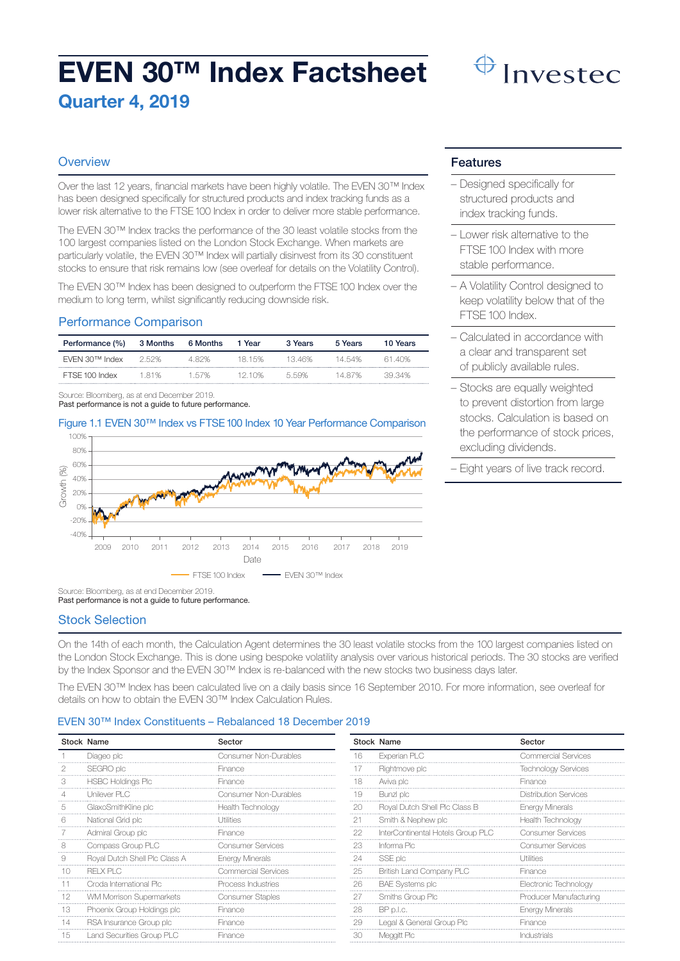# EVEN 30™ Index Factsheet Quarter 4, 2019

# Invested

# **Overview**

Over the last 12 years, financial markets have been highly volatile. The EVEN 30™ Index has been designed specifically for structured products and index tracking funds as a lower risk alternative to the FTSE 100 Index in order to deliver more stable performance.

The EVEN 30™ Index tracks the performance of the 30 least volatile stocks from the 100 largest companies listed on the London Stock Exchange. When markets are particularly volatile, the EVEN 30™ Index will partially disinvest from its 30 constituent stocks to ensure that risk remains low (see overleaf for details on the Volatility Control).

The EVEN 30™ Index has been designed to outperform the FTSE 100 Index over the medium to long term, whilst significantly reducing downside risk.

# Performance Comparison

| Performance (%) | 3 Months | 6 Months | 1 Year | 3 Years | 5 Years | 10 Years |
|-----------------|----------|----------|--------|---------|---------|----------|
| EVEN 30™ Index  | 2.52%    | 482%     | 18 15% | 1346%   | 14.54%  | 61 40%   |
| FTSE 100 Index  | 181%     | 1.57%    | 12 10% | 559%    | 14 87%  | 39.34%   |

Source: Bloomberg, as at end December 2019. Past performance is not a guide to future performance.

#### Figure 1.1 EVEN 30™ Index vs FTSE 100 Index 10 Year Performance Comparison



Source: Bloomberg, as at end December 2019.

Past performance is not a guide to future performance.

#### Stock Selection

On the 14th of each month, the Calculation Agent determines the 30 least volatile stocks from the 100 largest companies listed on the London Stock Exchange. This is done using bespoke volatility analysis over various historical periods. The 30 stocks are verified by the Index Sponsor and the EVEN 30™ Index is re-balanced with the new stocks two business days later.

The EVEN 30™ Index has been calculated live on a daily basis since 16 September 2010. For more information, see overleaf for details on how to obtain the EVEN 30™ Index Calculation Rules.

#### EVEN 30™ Index Constituents – Rebalanced 18 December 2019

|          | <b>Stock Name</b>               | Sector                 |
|----------|---------------------------------|------------------------|
|          | Diageo plc                      | Consumer Non-Durables  |
| 2        | SEGRO plc                       | Finance                |
| 3        | <b>HSBC Holdings Plc</b>        | Finance                |
| $\Delta$ | Unilever PLC                    | Consumer Non-Durables  |
| 5        | GlaxoSmithKline plc             | Health Technology      |
| 6        | National Grid plc               | Utilities              |
| 7        | Admiral Group plc               | Finance                |
| 8        | Compass Group PLC               | Consumer Services      |
| 9        | Royal Dutch Shell Plc Class A   | <b>Energy Minerals</b> |
| 10       | <b>RFIXPIC</b>                  | Commercial Services    |
| 11       | Croda International Plc         | Process Industries     |
| 12       | <b>WM Morrison Supermarkets</b> | Consumer Staples       |
| 13       | Phoenix Group Holdings plc      | Finance                |
| 14       | RSA Insurance Group plc         | Finance                |
| 15       | Land Securities Group PLC       | Finance                |

|    | <b>Stock Name</b>                 | Sector                       |
|----|-----------------------------------|------------------------------|
| 16 | Experian PLC                      | Commercial Services          |
| 17 | Rightmove plc                     | <b>Technology Services</b>   |
| 18 | Aviva plc                         | Finance                      |
| 19 | Bunzl plc                         | <b>Distribution Services</b> |
| 20 | Royal Dutch Shell Plc Class B     | <b>Energy Minerals</b>       |
| 21 | Smith & Nephew plc                | Health Technology            |
| 22 | InterContinental Hotels Group PLC | Consumer Services            |
| 23 | Informa Plc                       | Consumer Services            |
| 24 | SSE plc                           | Utilities                    |
| 25 | British Land Company PLC          | Finance                      |
| 26 | <b>BAE Systems plc</b>            | Electronic Technology        |
| 27 | Smiths Group Plc                  | Producer Manufacturing       |
| 28 | BP p.l.c.                         | <b>Energy Minerals</b>       |
| 29 | Legal & General Group Plc         | Finance                      |
| 30 | Meggitt Plc                       | Industrials                  |

#### Features

- Designed specifically for structured products and index tracking funds.
- Lower risk alternative to the FTSE 100 Index with more stable performance.
- A Volatility Control designed to keep volatility below that of the FTSE 100 Index.
- Calculated in accordance with a clear and transparent set of publicly available rules.
- Stocks are equally weighted to prevent distortion from large stocks. Calculation is based on the performance of stock prices, excluding dividends.
- Eight years of live track record.